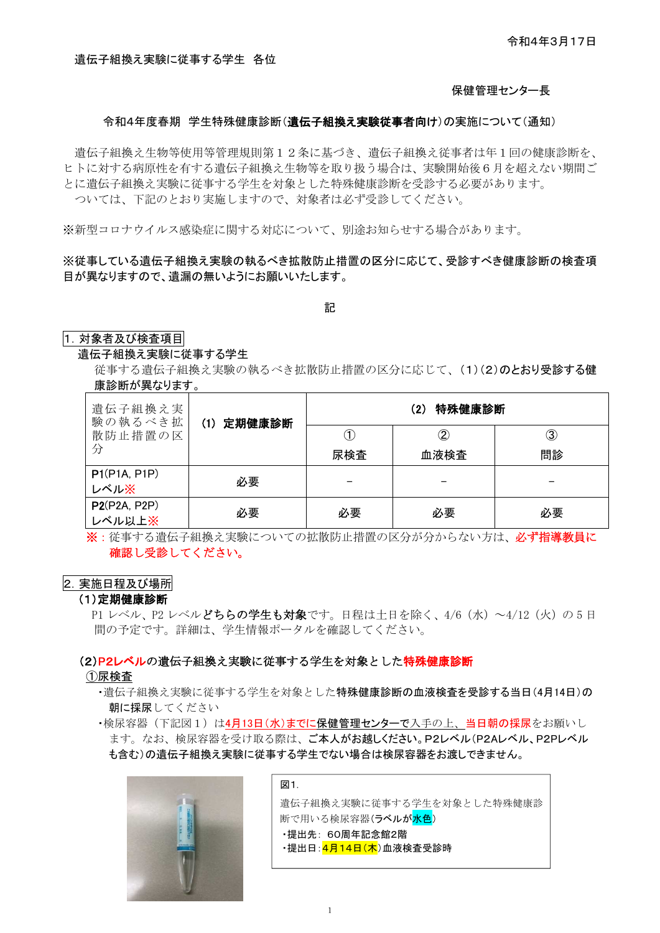### 保健管理センター長

### 令和4年度春期 学生特殊健康診断(遺伝子組換え実験従事者向け)の実施について(通知)

遺伝子組換え生物等使用等管理規則第12条に基づき、遺伝子組換え従事者は年1回の健康診断を、 ヒトに対する病原性を有する遺伝子組換え生物等を取り扱う場合は、実験開始後6月を超えない期間ご とに遺伝子組換え実験に従事する学生を対象とした特殊健康診断を受診する必要があります。 ついては、下記のとおり実施しますので、対象者は必ず受診してください。

※新型コロナウイルス感染症に関する対応について、別途お知らせする場合があります。

### ※従事している遺伝子組換え実験の執るべき拡散防止措置の区分に応じて、受診すべき健康診断の検査項 目が異なりますので、遺漏の無いようにお願いいたします。

記

### 1. 対象者及び検査項目

### 遺伝子組換え実験に従事する学生

従事する遺伝子組換え実験の執るべき拡散防止措置の区分に応じて、(1)(2)のとおり受診する健 康診断が異なります。

| 遺伝子組換え実<br>験の執るべき拡 | (1) 定期健康診断 | 特殊健康診断<br>(2) |           |    |
|--------------------|------------|---------------|-----------|----|
| 散防止措置の区            |            |               | $\rm (2)$ | 3  |
| 分                  |            | 尿検査           | 血液検査      | 問診 |
| P1(P1A, P1P)       | 必要         |               |           |    |
| レベル※               |            |               |           |    |
| P2(P2A, P2P)       | 必要         | 必要            | 必要        | 必要 |
| レベル以上※             |            |               |           |    |

※:従事する遺伝子組換え実験についての拡散防止措置の区分が分からない方は、必ず指導教員に 確認し受診してください。

### 2. 実施日程及び場所

### (1)定期健康診断

P1 レベル、P2 レベルどちらの学生も対象です。日程は土日を除く、4/6 (水) ~4/12 (火) の5日 間の予定です。詳細は、学生情報ポータルを確認してください。

### (2)P2レベルの遺伝子組換え実験に従事する学生を対象とした特殊健康診断

①尿検査

- ・遺伝子組換え実験に従事する学生を対象とした特殊健康診断の血液検査を受診する当日(4月14日)の 朝に採尿してください
- ・検尿容器(下記図1)は4月13日(水)までに保健管理センターで入手の上、当日朝の採尿をお願いし ます。なお、検尿容器を受け取る際は、ご本人がお越しください。P2レベル(P2Aレベル、P2Pレベル も含む)の遺伝子組換え実験に従事する学生でない場合は検尿容器をお渡しできません。



図1. 遺伝子組換え実験に従事する学生を対象とした特殊健康診 断で用いる検尿容器(ラベルが<mark>水色</mark>) ・提出先: 60周年記念館2階 ・提出日: <mark>4月14日(木</mark>)血液検査受診時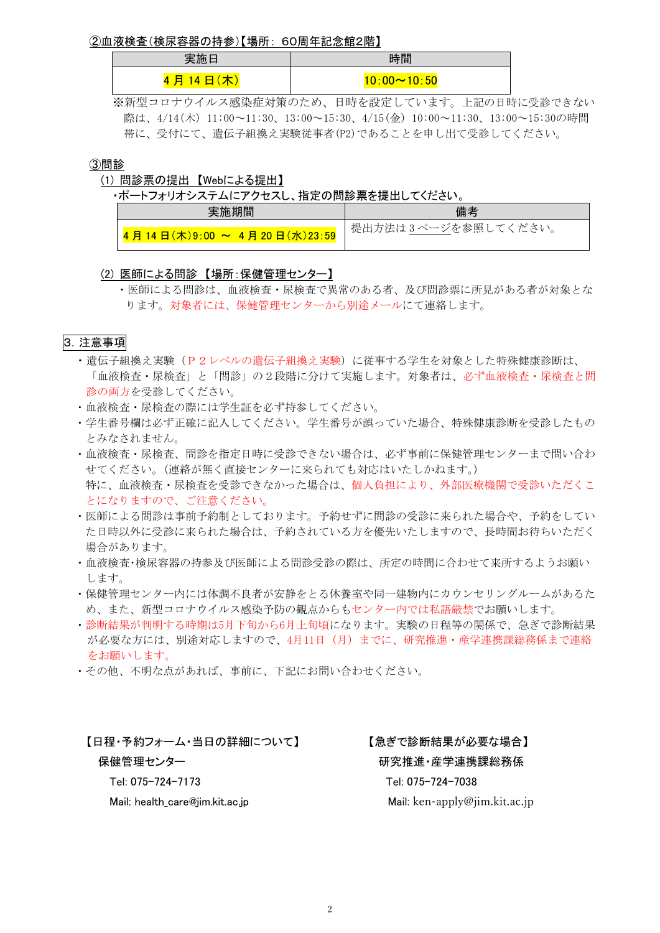②血液検査(検尿容器の持参)【場所: 60周年記念館2階】

|             | 時間                |  |
|-------------|-------------------|--|
| л<br>Е<br>л | <u>\∙00∼10∙50</u> |  |

※新型コロナウイルス感染症対策のため、日時を設定しています。上記の日時に受診できない 際は、4/14(木) 11:00~11:30、13:00~15:30、4/15(金) 10:00~11:30、13:00~15:30の時間 帯に、受付にて、遺伝子組換え実験従事者(P2)であることを申し出て受診してください。

### ③問診

### (1) 問診票の提出 【Webによる提出】

・ポートフォリオシステムにアクセスし、指定の問診票を提出してください。

| 美她期间                               | 備考                  |
|------------------------------------|---------------------|
| 4 月 14 日(木)9∶00 ~ 4 月 20 日(水)23∶59 | 提出方法は3ページを参照してください。 |

### (2) 医師による問診 【場所:保健管理センター】

・医師による問診は、血液検査・尿検査で異常のある者、及び問診票に所見がある者が対象とな ります。対象者には、保健管理センターから別途メールにて連絡します。

# 3.注意事項

- · 遺伝子組換え実験(P2レベルの遺伝子組換え実験)に従事する学生を対象とした特殊健康診断は、 「血液検査・尿検査」と「問診」の2段階に分けて実施します。対象者は、必ず血液検査・尿検査と問 診の両方を受診してください。
- ・血液検査・尿検査の際には学生証を必ず持参してください。
- ・学生番号欄は必ず正確に記入してください。学生番号が誤っていた場合、特殊健康診断を受診したもの とみなされません。
- ・血液検査・尿検査、問診を指定日時に受診できない場合は、必ず事前に保健管理センターまで問い合わ せてください。(連絡が無く直接センターに来られても対応はいたしかねます。) 特に、血液検査・尿検査を受診できなかった場合は、個人負担により、外部医療機関で受診いただくこ とになりますので、ご注意ください。
- ・医師による問診は事前予約制としております。予約せずに問診の受診に来られた場合や、予約をしてい た日時以外に受診に来られた場合は、予約されている方を優先いたしますので、長時間お待ちいただく 場合があります。
- ・血液検査・検尿容器の持参及び医師による問診受診の際は、所定の時間に合わせて来所するようお願い します。
- ・保健管理センター内には体調不良者が安静をとる休養室や同一建物内にカウンセリングルームがあるた め、また、新型コロナウイルス感染予防の観点からもセンター内では私語厳禁でお願いします。
- ・診断結果が判明する時期は5月下旬から6月上旬頃になります。実験の日程等の関係で、急ぎで診断結果 が必要な方には、別途対応しますので、4月11日(月)までに、研究推進・産学連携課総務係まで連絡 をお願いします。
- ・その他、不明な点があれば、事前に、下記にお問い合わせください。

### 【日程・予約フォーム・当日の詳細について】 【急ぎで診断結果が必要な場合】

# 保健管理センター インター インファイン アンクロン 研究推進・産学連携課総務係 Tel: 075-724-7173 Tel: 075-724-7038 Mail: health\_care@jim.kit.ac.jp Mail: ken-apply@jim.kit.ac.jp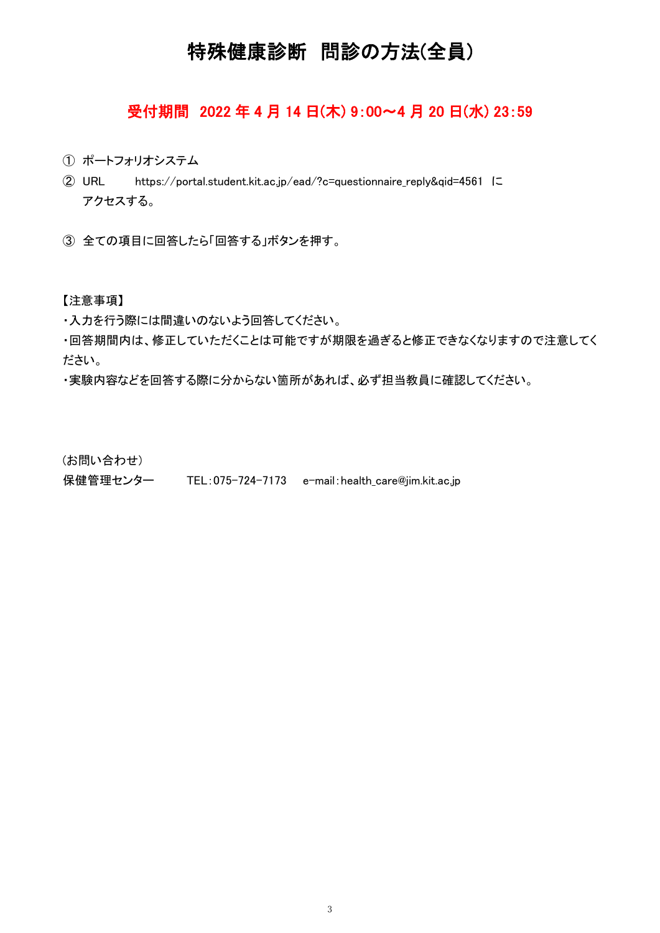# 特殊健康診断 問診の方法(全員)

# 受付期間 2022 年 4 月 14 日(木) 9:00~4 月 20 日(水) 23:59

- ① ポートフォリオシステム
- ② URL https://portal.student.kit.ac.jp/ead/?c=questionnaire\_reply&qid=4561 に アクセスする。
- ③ 全ての項目に回答したら「回答する」ボタンを押す。

### 【注意事項】

・入力を行う際には間違いのないよう回答してください。

・回答期間内は、修正していただくことは可能ですが期限を過ぎると修正できなくなりますので注意してく ださい。

・実験内容などを回答する際に分からない箇所があれば、必ず担当教員に確認してください。

(お問い合わせ)

保健管理センター TEL:075-724-7173 e-mail:health care@jim.kit.ac.jp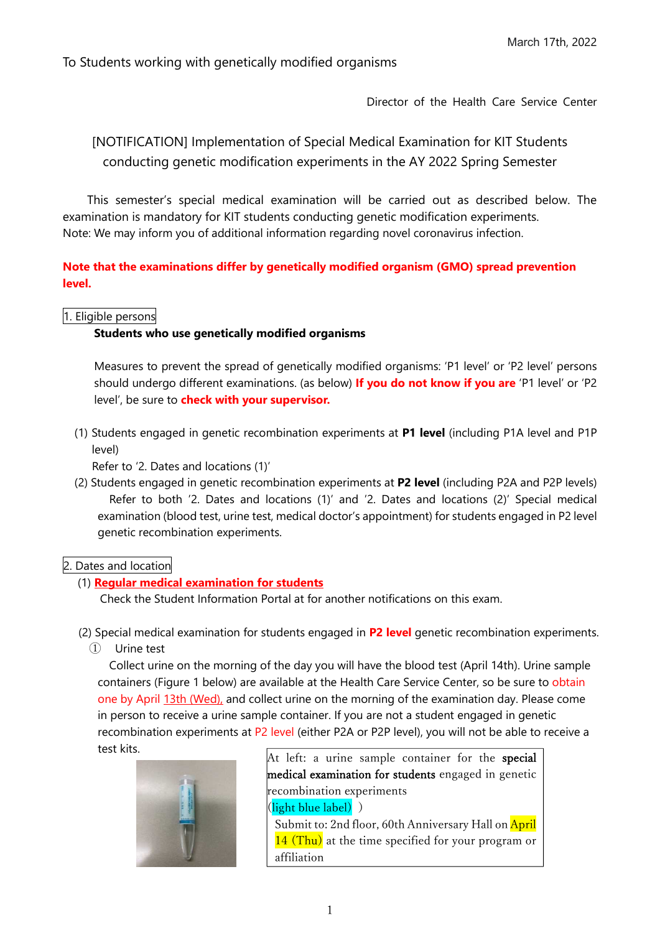To Students working with genetically modified organisms

Director of the Health Care Service Center

[NOTIFICATION] Implementation of Special Medical Examination for KIT Students conducting genetic modification experiments in the AY 2022 Spring Semester

This semester's special medical examination will be carried out as described below. The examination is mandatory for KIT students conducting genetic modification experiments. Note: We may inform you of additional information regarding novel coronavirus infection.

**Note that the examinations differ by genetically modified organism ﴾GMO﴿ spread prevention level.**

1. Eligible persons

# **Students who use genetically modified organisms**

Measures to prevent the spread of genetically modified organisms: 'P1 level' or 'P2 level' persons should undergo different examinations. (as below) If you do not know if you are 'P1 level' or 'P2 level', be sure to **check with your supervisor.**

﴾1﴿ Students engaged in genetic recombination experiments at **P1 level** ﴾including P1A level and P1P level)

Refer to '2. Dates and locations (1)'

(2) Students engaged in genetic recombination experiments at **P2 level** (including P2A and P2P levels) Refer to both '2. Dates and locations  $(1)'$  and '2. Dates and locations  $(2)'$  Special medical examination (blood test, urine test, medical doctor's appointment) for students engaged in P2 level genetic recombination experiments.

# 2. Dates and location

# (1) **Regular medical examination for students**

Check the Student Information Portal at for another notifications on this exam.

- (2) Special medical examination for students engaged in **P2 level** genetic recombination experiments.
	- ① Urine test

Collect urine on the morning of the day you will have the blood test (April 14th). Urine sample containers (Figure 1 below) are available at the Health Care Service Center, so be sure to obtain one by April 13th (Wed), and collect urine on the morning of the examination day. Please come in person to receive a urine sample container. If you are not a student engaged in genetic recombination experiments at P2 level (either P2A or P2P level), you will not be able to receive a test kits.



At left: a urine sample container for the **special** medical examination for students engaged in genetic recombination experiments (light blue label) ) Submit to: 2nd floor, 60th Anniversary Hall on April 14 (Thu) at the time specified for your program or affiliation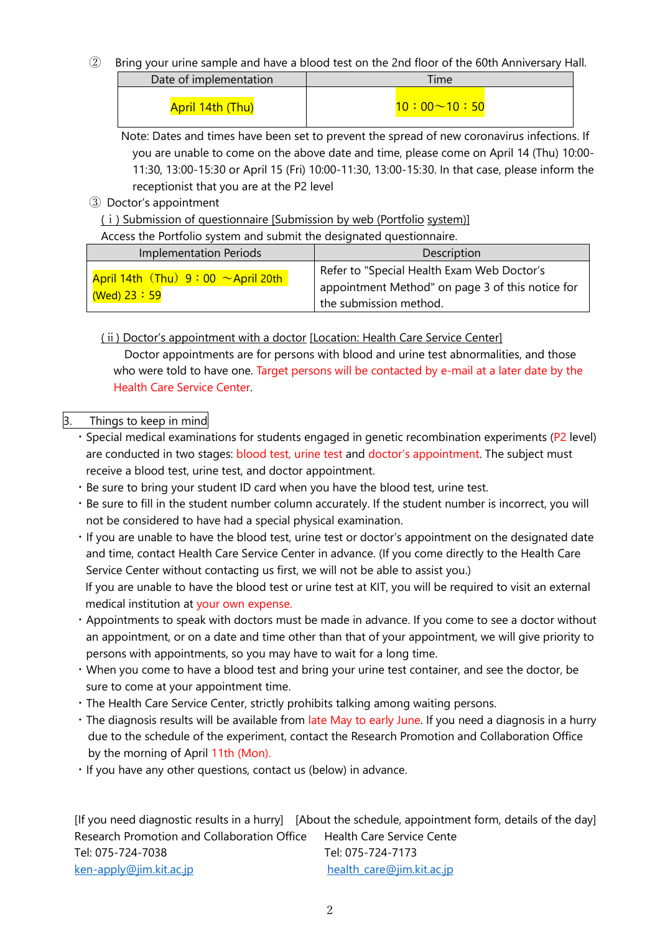② Bring your urine sample and have a blood test on the 2nd floor of the 60th Anniversary Hall.

| Date of implementation | <b>Ime</b>         |  |
|------------------------|--------------------|--|
| April 14th (Thu)       | $10:00 \sim 10:50$ |  |

Note: Dates and times have been set to prevent the spread of new coronavirus infections. If you are unable to come on the above date and time, please come on April 14 (Thu) 10:00- 11:30, 13:00-15:30 or April 15 (Fri) 10:00-11:30, 13:00-15:30. In that case, please inform the receptionist that you are at the P2 level

③ Doctor's appointment

(i) Submission of questionnaire [Submission by web (Portfolio system)]

Access the Portfolio system and submit the designated questionnaire.

| <b>Implementation Periods</b>                             | Description                                                                                                              |
|-----------------------------------------------------------|--------------------------------------------------------------------------------------------------------------------------|
| April 14th $(Thu) 9:00 ~\sim$ April 20th<br>(Wed) $23:59$ | Refer to "Special Health Exam Web Doctor's<br>appointment Method" on page 3 of this notice for<br>the submission method. |

# (ii) Doctor's appointment with a doctor [Location: Health Care Service Center]

Doctor appointments are for persons with blood and urine test abnormalities, and those who were told to have one. Target persons will be contacted by e-mail at a later date by the Health Care Service Center.

# 3. Things to keep in mind

- $\cdot$  Special medical examinations for students engaged in genetic recombination experiments (P2 level) are conducted in two stages: blood test, urine test and doctor's appointment. The subject must receive a blood test, urine test, and doctor appointment.
- ・Be sure to bring your student ID card when you have the blood test, urine test.
- ・Be sure to fill in the student number column accurately. If the student number is incorrect, you will not be considered to have had a special physical examination.
- ・If you are unable to have the blood test, urine test or doctor's appointment on the designated date and time, contact Health Care Service Center in advance. (If you come directly to the Health Care Service Center without contacting us first, we will not be able to assist you.) If you are unable to have the blood test or urine test at KIT, you will be required to visit an external medical institution at your own expense.
- ・Appointments to speak with doctors must be made in advance. If you come to see a doctor without an appointment, or on a date and time other than that of your appointment, we will give priority to persons with appointments, so you may have to wait for a long time.
- ・When you come to have a blood test and bring your urine test container, and see the doctor, be sure to come at your appointment time.
- ・The Health Care Service Center, strictly prohibits talking among waiting persons.
- ・The diagnosis results will be available from late May to early June. If you need a diagnosis in a hurry due to the schedule of the experiment, contact the Research Promotion and Collaboration Office by the morning of April 11th (Mon).
- ・If you have any other questions, contact us (below) in advance.

|                                             | [If you need diagnostic results in a hurry] [About the schedule, appointment form, details of the day] |
|---------------------------------------------|--------------------------------------------------------------------------------------------------------|
| Research Promotion and Collaboration Office | Health Care Service Cente                                                                              |
| Tel: 075-724-7038                           | Tel: 075-724-7173                                                                                      |
| ken-apply@jim.kit.ac.jp                     | health_care@jim.kit.ac.jp                                                                              |